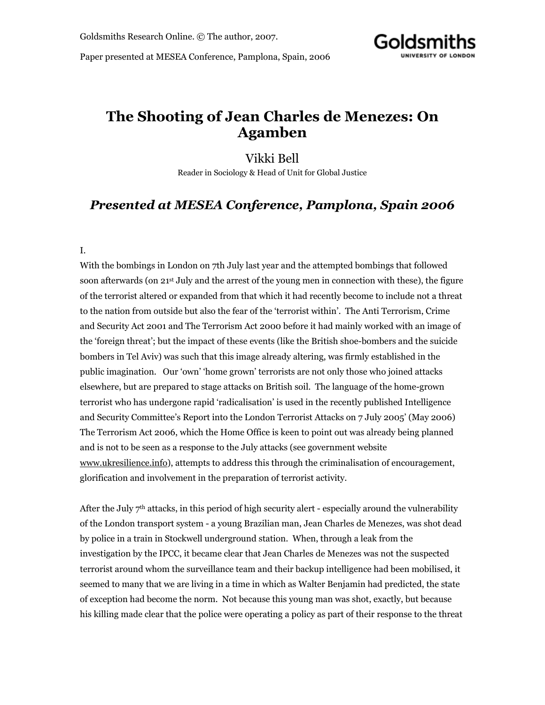Paper presented at MESEA Conference, Pamplona, Spain, 2006



# **The Shooting of Jean Charles de Menezes: On Agamben**

#### Vikki Bell

Reader in Sociology & Head of Unit for Global Justice

## *Presented at MESEA Conference, Pamplona, Spain 2006*

#### I.

With the bombings in London on 7th July last year and the attempted bombings that followed soon afterwards (on 21<sup>st</sup> July and the arrest of the young men in connection with these), the figure of the terrorist altered or expanded from that which it had recently become to include not a threat to the nation from outside but also the fear of the 'terrorist within'. The Anti Terrorism, Crime and Security Act 2001 and The Terrorism Act 2000 before it had mainly worked with an image of the 'foreign threat'; but the impact of these events (like the British shoe-bombers and the suicide bombers in Tel Aviv) was such that this image already altering, was firmly established in the public imagination. Our 'own' 'home grown' terrorists are not only those who joined attacks elsewhere, but are prepared to stage attacks on British soil. The language of the home-grown terrorist who has undergone rapid 'radicalisation' is used in the recently published Intelligence and Security Committee's Report into the London Terrorist Attacks on 7 July 2005' (May 2006) The Terrorism Act 2006, which the Home Office is keen to point out was already being planned and is not to be seen as a response to the July attacks (see government website www.ukresilience.info), attempts to address this through the criminalisation of encouragement, glorification and involvement in the preparation of terrorist activity.

After the July  $7<sup>th</sup>$  attacks, in this period of high security alert - especially around the vulnerability of the London transport system - a young Brazilian man, Jean Charles de Menezes, was shot dead by police in a train in Stockwell underground station. When, through a leak from the investigation by the IPCC, it became clear that Jean Charles de Menezes was not the suspected terrorist around whom the surveillance team and their backup intelligence had been mobilised, it seemed to many that we are living in a time in which as Walter Benjamin had predicted, the state of exception had become the norm. Not because this young man was shot, exactly, but because his killing made clear that the police were operating a policy as part of their response to the threat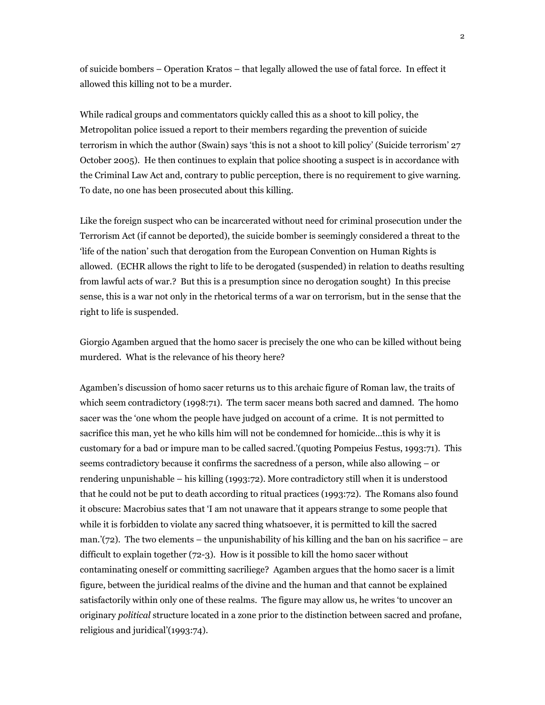of suicide bombers – Operation Kratos – that legally allowed the use of fatal force. In effect it allowed this killing not to be a murder.

While radical groups and commentators quickly called this as a shoot to kill policy, the Metropolitan police issued a report to their members regarding the prevention of suicide terrorism in which the author (Swain) says 'this is not a shoot to kill policy' (Suicide terrorism' 27 October 2005). He then continues to explain that police shooting a suspect is in accordance with the Criminal Law Act and, contrary to public perception, there is no requirement to give warning. To date, no one has been prosecuted about this killing.

Like the foreign suspect who can be incarcerated without need for criminal prosecution under the Terrorism Act (if cannot be deported), the suicide bomber is seemingly considered a threat to the 'life of the nation' such that derogation from the European Convention on Human Rights is allowed. (ECHR allows the right to life to be derogated (suspended) in relation to deaths resulting from lawful acts of war.? But this is a presumption since no derogation sought) In this precise sense, this is a war not only in the rhetorical terms of a war on terrorism, but in the sense that the right to life is suspended.

Giorgio Agamben argued that the homo sacer is precisely the one who can be killed without being murdered. What is the relevance of his theory here?

Agamben's discussion of homo sacer returns us to this archaic figure of Roman law, the traits of which seem contradictory (1998:71). The term sacer means both sacred and damned. The homo sacer was the 'one whom the people have judged on account of a crime. It is not permitted to sacrifice this man, yet he who kills him will not be condemned for homicide…this is why it is customary for a bad or impure man to be called sacred.'(quoting Pompeius Festus, 1993:71). This seems contradictory because it confirms the sacredness of a person, while also allowing – or rendering unpunishable – his killing (1993:72). More contradictory still when it is understood that he could not be put to death according to ritual practices (1993:72). The Romans also found it obscure: Macrobius sates that 'I am not unaware that it appears strange to some people that while it is forbidden to violate any sacred thing whatsoever, it is permitted to kill the sacred man.'(72). The two elements – the unpunishability of his killing and the ban on his sacrifice – are difficult to explain together (72-3). How is it possible to kill the homo sacer without contaminating oneself or committing sacriliege? Agamben argues that the homo sacer is a limit figure, between the juridical realms of the divine and the human and that cannot be explained satisfactorily within only one of these realms. The figure may allow us, he writes 'to uncover an originary *political* structure located in a zone prior to the distinction between sacred and profane, religious and juridical'(1993:74).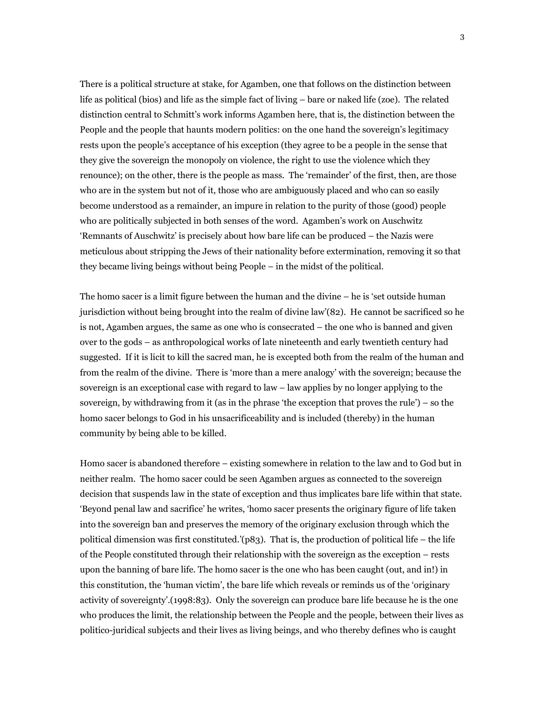There is a political structure at stake, for Agamben, one that follows on the distinction between life as political (bios) and life as the simple fact of living – bare or naked life (zoe). The related distinction central to Schmitt's work informs Agamben here, that is, the distinction between the People and the people that haunts modern politics: on the one hand the sovereign's legitimacy rests upon the people's acceptance of his exception (they agree to be a people in the sense that they give the sovereign the monopoly on violence, the right to use the violence which they renounce); on the other, there is the people as mass. The 'remainder' of the first, then, are those who are in the system but not of it, those who are ambiguously placed and who can so easily become understood as a remainder, an impure in relation to the purity of those (good) people who are politically subjected in both senses of the word. Agamben's work on Auschwitz 'Remnants of Auschwitz' is precisely about how bare life can be produced – the Nazis were meticulous about stripping the Jews of their nationality before extermination, removing it so that they became living beings without being People – in the midst of the political.

The homo sacer is a limit figure between the human and the divine – he is 'set outside human jurisdiction without being brought into the realm of divine law'(82). He cannot be sacrificed so he is not, Agamben argues, the same as one who is consecrated – the one who is banned and given over to the gods – as anthropological works of late nineteenth and early twentieth century had suggested. If it is licit to kill the sacred man, he is excepted both from the realm of the human and from the realm of the divine. There is 'more than a mere analogy' with the sovereign; because the sovereign is an exceptional case with regard to law – law applies by no longer applying to the sovereign, by withdrawing from it (as in the phrase 'the exception that proves the rule') – so the homo sacer belongs to God in his unsacrificeability and is included (thereby) in the human community by being able to be killed.

Homo sacer is abandoned therefore – existing somewhere in relation to the law and to God but in neither realm. The homo sacer could be seen Agamben argues as connected to the sovereign decision that suspends law in the state of exception and thus implicates bare life within that state. 'Beyond penal law and sacrifice' he writes, 'homo sacer presents the originary figure of life taken into the sovereign ban and preserves the memory of the originary exclusion through which the political dimension was first constituted.'(p83). That is, the production of political life – the life of the People constituted through their relationship with the sovereign as the exception – rests upon the banning of bare life. The homo sacer is the one who has been caught (out, and in!) in this constitution, the 'human victim', the bare life which reveals or reminds us of the 'originary activity of sovereignty'.(1998:83). Only the sovereign can produce bare life because he is the one who produces the limit, the relationship between the People and the people, between their lives as politico-juridical subjects and their lives as living beings, and who thereby defines who is caught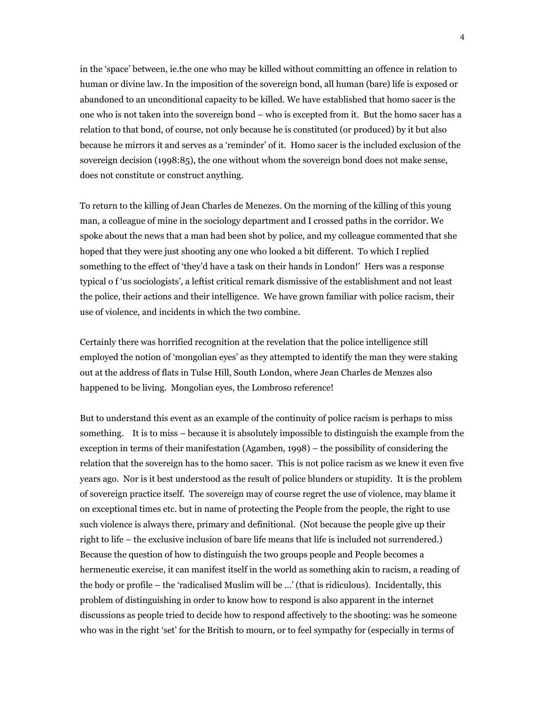in the 'space' between, ie.the one who may be killed without committing an offence in relation to human or divine law. In the imposition of the sovereign bond, all human (bare) life is exposed or abandoned to an unconditional capacity to be killed. We have established that homo sacer is the one who is not taken into the sovereign bond – who is excepted from it. But the homo sacer has a relation to that bond, of course, not only because he is constituted (or produced) by it but also because he mirrors it and serves as a 'reminder' of it. Homo sacer is the included exclusion of the sovereign decision (1998:85), the one without whom the sovereign bond does not make sense, does not constitute or construct anything.

To return to the killing of Jean Charles de Menezes. On the morning of the killing of this young man, a colleague of mine in the sociology department and I crossed paths in the corridor. We spoke about the news that a man had been shot by police, and my colleague commented that she hoped that they were just shooting any one who looked a bit different. To which I replied something to the effect of 'they'd have a task on their hands in London!' Hers was a response typical o f 'us sociologists', a leftist critical remark dismissive of the establishment and not least the police, their actions and their intelligence. We have grown familiar with police racism, their use of violence, and incidents in which the two combine.

Certainly there was horrified recognition at the revelation that the police intelligence still employed the notion of 'mongolian eyes' as they attempted to identify the man they were staking out at the address of flats in Tulse Hill, South London, where Jean Charles de Menzes also happened to be living. Mongolian eyes, the Lombroso reference!

But to understand this event as an example of the continuity of police racism is perhaps to miss something. It is to miss – because it is absolutely impossible to distinguish the example from the exception in terms of their manifestation (Agamben, 1998) – the possibility of considering the relation that the sovereign has to the homo sacer. This is not police racism as we knew it even five years ago. Nor is it best understood as the result of police blunders or stupidity. It is the problem of sovereign practice itself. The sovereign may of course regret the use of violence, may blame it on exceptional times etc. but in name of protecting the People from the people, the right to use such violence is always there, primary and definitional. (Not because the people give up their right to life – the exclusive inclusion of bare life means that life is included not surrendered.) Because the question of how to distinguish the two groups people and People becomes a hermeneutic exercise, it can manifest itself in the world as something akin to racism, a reading of the body or profile – the 'radicalised Muslim will be …' (that is ridiculous). Incidentally, this problem of distinguishing in order to know how to respond is also apparent in the internet discussions as people tried to decide how to respond affectively to the shooting: was he someone who was in the right 'set' for the British to mourn, or to feel sympathy for (especially in terms of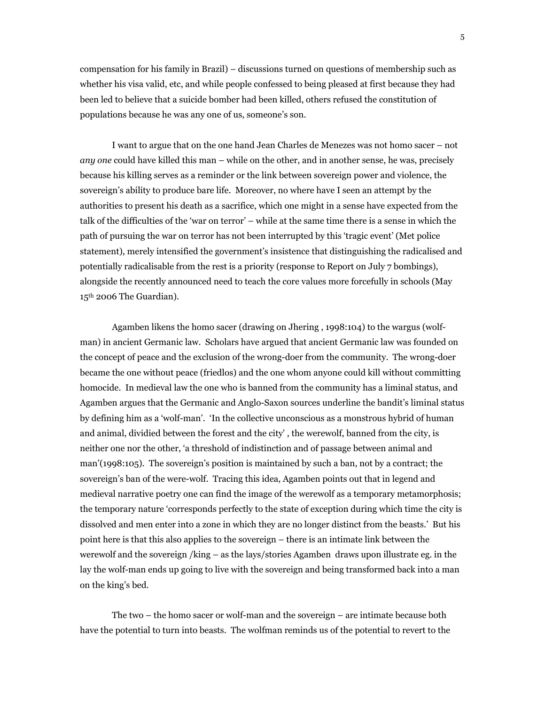compensation for his family in Brazil) – discussions turned on questions of membership such as whether his visa valid, etc, and while people confessed to being pleased at first because they had been led to believe that a suicide bomber had been killed, others refused the constitution of populations because he was any one of us, someone's son.

 I want to argue that on the one hand Jean Charles de Menezes was not homo sacer – not *any one* could have killed this man – while on the other, and in another sense, he was, precisely because his killing serves as a reminder or the link between sovereign power and violence, the sovereign's ability to produce bare life. Moreover, no where have I seen an attempt by the authorities to present his death as a sacrifice, which one might in a sense have expected from the talk of the difficulties of the 'war on terror' – while at the same time there is a sense in which the path of pursuing the war on terror has not been interrupted by this 'tragic event' (Met police statement), merely intensified the government's insistence that distinguishing the radicalised and potentially radicalisable from the rest is a priority (response to Report on July 7 bombings), alongside the recently announced need to teach the core values more forcefully in schools (May  $15<sup>th</sup>$  2006 The Guardian).

Agamben likens the homo sacer (drawing on Jhering , 1998:104) to the wargus (wolfman) in ancient Germanic law. Scholars have argued that ancient Germanic law was founded on the concept of peace and the exclusion of the wrong-doer from the community. The wrong-doer became the one without peace (friedlos) and the one whom anyone could kill without committing homocide. In medieval law the one who is banned from the community has a liminal status, and Agamben argues that the Germanic and Anglo-Saxon sources underline the bandit's liminal status by defining him as a 'wolf-man'. 'In the collective unconscious as a monstrous hybrid of human and animal, dividied between the forest and the city' , the werewolf, banned from the city, is neither one nor the other, 'a threshold of indistinction and of passage between animal and man'(1998:105). The sovereign's position is maintained by such a ban, not by a contract; the sovereign's ban of the were-wolf. Tracing this idea, Agamben points out that in legend and medieval narrative poetry one can find the image of the werewolf as a temporary metamorphosis; the temporary nature 'corresponds perfectly to the state of exception during which time the city is dissolved and men enter into a zone in which they are no longer distinct from the beasts.' But his point here is that this also applies to the sovereign – there is an intimate link between the werewolf and the sovereign /king – as the lays/stories Agamben draws upon illustrate eg. in the lay the wolf-man ends up going to live with the sovereign and being transformed back into a man on the king's bed.

The two – the homo sacer or wolf-man and the sovereign – are intimate because both have the potential to turn into beasts. The wolfman reminds us of the potential to revert to the